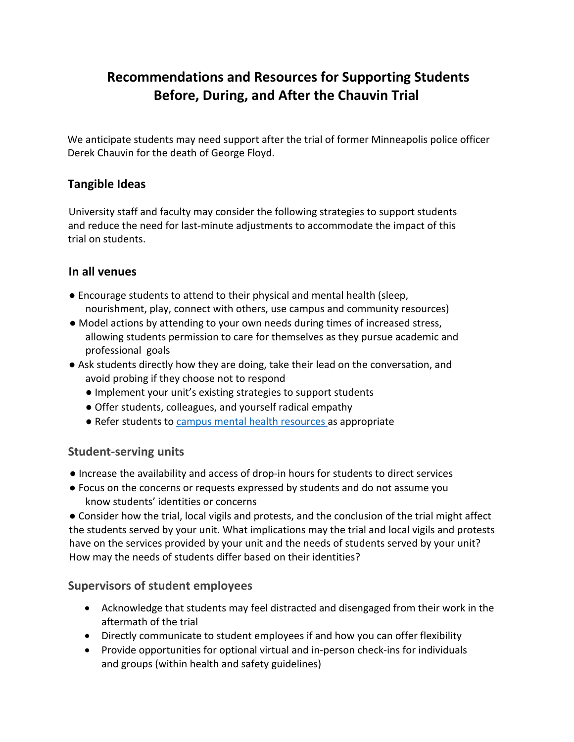# **Recommendations and Resources for Supporting Students Before, During, and After the Chauvin Trial**

We anticipate students may need support after the trial of former Minneapolis police officer Derek Chauvin for the death of George Floyd.

## **Tangible Ideas**

University staff and faculty may consider the following strategies to support students and reduce the need for last-minute adjustments to accommodate the impact of this trial on students.

#### **In all venues**

- Encourage students to attend to their physical and mental health (sleep, nourishment, play, connect with others, use campus and community resources)
- Model actions by attending to your own needs during times of increased stress, allowing students permission to care for themselves as they pursue academic and professional goals
- Ask students directly how they are doing, take their lead on the conversation, and avoid probing if they choose not to respond
	- Implement your unit's existing strategies to support students
	- Offer students, colleagues, and yourself radical empathy
	- Refer students to campus mental health resources as appropriate

## **Student-serving units**

- Increase the availability and access of drop-in hours for students to direct services
- Focus on the concerns or requests expressed by students and do not assume you know students' identities or concerns

● Consider how the trial, local vigils and protests, and the conclusion of the trial might affect the students served by your unit. What implications may the trial and local vigils and protests have on the services provided by your unit and the needs of students served by your unit? How may the needs of students differ based on their identities?

## **Supervisors of student employees**

- Acknowledge that students may feel distracted and disengaged from their work in the aftermath of the trial
- Directly communicate to student employees if and how you can offer flexibility
- Provide opportunities for optional virtual and in-person check-ins for individuals and groups (within health and safety guidelines)